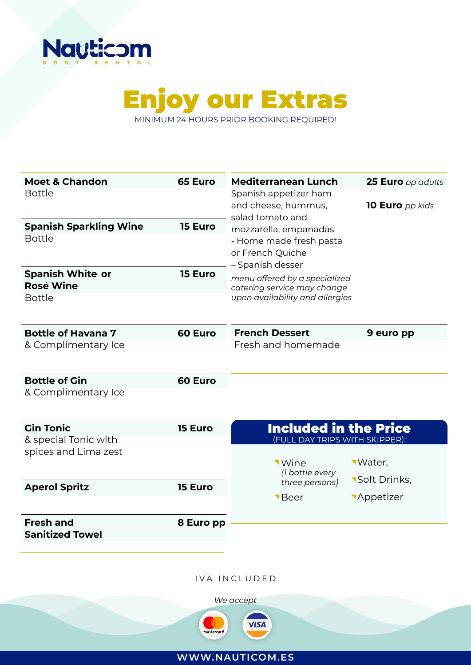



**Moet & Chandon 65 Euro** Bottle **Spanish Sparkling Wine 15 Euro** Bottle **Spanish White or 15 Euro Rosé Wine**  Bottle **Bottle of Havana 7 60 Euro** & Complimentary Ice **Bottle of Gin 60 Euro** & Complimentary Ice **Gin Tonic 15 Euro** & special Tonic with spices and Lima zest **Aperol Spritz 15 Euro Fresh and 8 Euro pp Sanitized Towel Mediterranean Lunch** Spanish appetizer ham and cheese, hummus, salad tomato and mozzarella, empanadas - Home made fresh pasta or French Quiche – Spanish desser **25 Euro** *pp adults* **10 Euro** *pp kids* **French Dessert 9 euro pp** Fresh and homemade Included in the Price (FULL DAY TRIPS WITH SKIPPER): Wine Beer Water, **Soft Drinks, Appetizer** *menu offered by a specialized catering service may change upon availability and allergies (1 bottle every three persons)*

IVA INCLUDED



**WWW.NAUTICOM.ES**